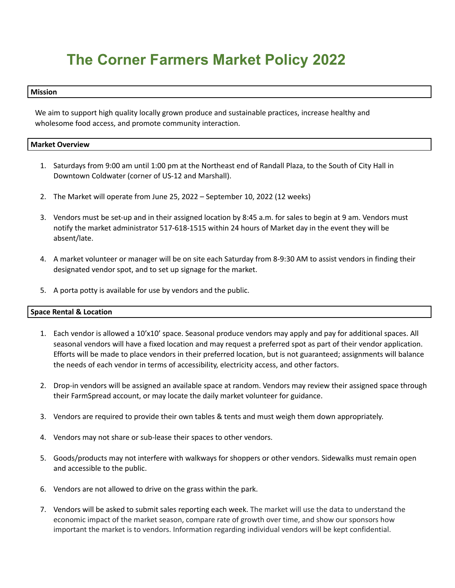# **The Corner Farmers Market Policy 2022**

#### **Mission**

We aim to support high quality locally grown produce and sustainable practices, increase healthy and wholesome food access, and promote community interaction.

# **Market Overview**

- 1. Saturdays from 9:00 am until 1:00 pm at the Northeast end of Randall Plaza, to the South of City Hall in Downtown Coldwater (corner of US-12 and Marshall).
- 2. The Market will operate from June 25, 2022 September 10, 2022 (12 weeks)
- 3. Vendors must be set-up and in their assigned location by 8:45 a.m. for sales to begin at 9 am. Vendors must notify the market administrator 517-618-1515 within 24 hours of Market day in the event they will be absent/late.
- 4. A market volunteer or manager will be on site each Saturday from 8-9:30 AM to assist vendors in finding their designated vendor spot, and to set up signage for the market.
- 5. A porta potty is available for use by vendors and the public.

# **Space Rental & Location**

- 1. Each vendor is allowed a 10'x10' space. Seasonal produce vendors may apply and pay for additional spaces. All seasonal vendors will have a fixed location and may request a preferred spot as part of their vendor application. Efforts will be made to place vendors in their preferred location, but is not guaranteed; assignments will balance the needs of each vendor in terms of accessibility, electricity access, and other factors.
- 2. Drop-in vendors will be assigned an available space at random. Vendors may review their assigned space through their FarmSpread account, or may locate the daily market volunteer for guidance.
- 3. Vendors are required to provide their own tables & tents and must weigh them down appropriately.
- 4. Vendors may not share or sub-lease their spaces to other vendors.
- 5. Goods/products may not interfere with walkways for shoppers or other vendors. Sidewalks must remain open and accessible to the public.
- 6. Vendors are not allowed to drive on the grass within the park.
- 7. Vendors will be asked to submit sales reporting each week. The market will use the data to understand the economic impact of the market season, compare rate of growth over time, and show our sponsors how important the market is to vendors. Information regarding individual vendors will be kept confidential.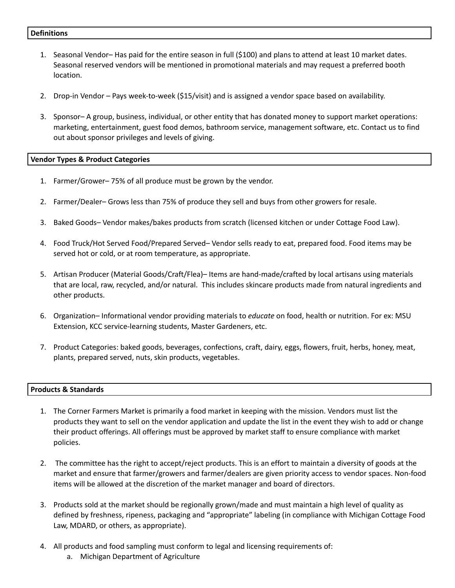#### **Definitions**

- 1. Seasonal Vendor– Has paid for the entire season in full (\$100) and plans to attend at least 10 market dates. Seasonal reserved vendors will be mentioned in promotional materials and may request a preferred booth location.
- 2. Drop-in Vendor Pays week-to-week (\$15/visit) and is assigned a vendor space based on availability.
- 3. Sponsor– A group, business, individual, or other entity that has donated money to support market operations: marketing, entertainment, guest food demos, bathroom service, management software, etc. Contact us to find out about sponsor privileges and levels of giving.

#### **Vendor Types & Product Categories**

- 1. Farmer/Grower– 75% of all produce must be grown by the vendor.
- 2. Farmer/Dealer– Grows less than 75% of produce they sell and buys from other growers for resale.
- 3. Baked Goods– Vendor makes/bakes products from scratch (licensed kitchen or under Cottage Food Law).
- 4. Food Truck/Hot Served Food/Prepared Served– Vendor sells ready to eat, prepared food. Food items may be served hot or cold, or at room temperature, as appropriate.
- 5. Artisan Producer (Material Goods/Craft/Flea)– Items are hand-made/crafted by local artisans using materials that are local, raw, recycled, and/or natural. This includes skincare products made from natural ingredients and other products.
- 6. Organization– Informational vendor providing materials to *educate* on food, health or nutrition. For ex: MSU Extension, KCC service-learning students, Master Gardeners, etc.
- 7. Product Categories: baked goods, beverages, confections, craft, dairy, eggs, flowers, fruit, herbs, honey, meat, plants, prepared served, nuts, skin products, vegetables.

#### **Products & Standards**

- 1. The Corner Farmers Market is primarily a food market in keeping with the mission. Vendors must list the products they want to sell on the vendor application and update the list in the event they wish to add or change their product offerings. All offerings must be approved by market staff to ensure compliance with market policies.
- 2. The committee has the right to accept/reject products. This is an effort to maintain a diversity of goods at the market and ensure that farmer/growers and farmer/dealers are given priority access to vendor spaces. Non-food items will be allowed at the discretion of the market manager and board of directors.
- 3. Products sold at the market should be regionally grown/made and must maintain a high level of quality as defined by freshness, ripeness, packaging and "appropriate" labeling (in compliance with Michigan Cottage Food Law, MDARD, or others, as appropriate).
- 4. All products and food sampling must conform to legal and licensing requirements of:
	- a. Michigan Department of Agriculture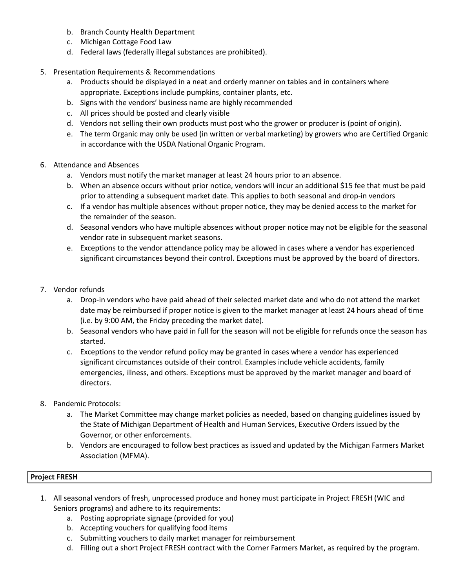- b. Branch County Health Department
- c. Michigan Cottage Food Law
- d. Federal laws (federally illegal substances are prohibited).
- 5. Presentation Requirements & Recommendations
	- a. Products should be displayed in a neat and orderly manner on tables and in containers where appropriate. Exceptions include pumpkins, container plants, etc.
	- b. Signs with the vendors' business name are highly recommended
	- c. All prices should be posted and clearly visible
	- d. Vendors not selling their own products must post who the grower or producer is (point of origin).
	- e. The term Organic may only be used (in written or verbal marketing) by growers who are Certified Organic in accordance with the USDA National Organic Program.
- 6. Attendance and Absences
	- a. Vendors must notify the market manager at least 24 hours prior to an absence.
	- b. When an absence occurs without prior notice, vendors will incur an additional \$15 fee that must be paid prior to attending a subsequent market date. This applies to both seasonal and drop-in vendors
	- c. If a vendor has multiple absences without proper notice, they may be denied access to the market for the remainder of the season.
	- d. Seasonal vendors who have multiple absences without proper notice may not be eligible for the seasonal vendor rate in subsequent market seasons.
	- e. Exceptions to the vendor attendance policy may be allowed in cases where a vendor has experienced significant circumstances beyond their control. Exceptions must be approved by the board of directors.
- 7. Vendor refunds
	- a. Drop-in vendors who have paid ahead of their selected market date and who do not attend the market date may be reimbursed if proper notice is given to the market manager at least 24 hours ahead of time (i.e. by 9:00 AM, the Friday preceding the market date).
	- b. Seasonal vendors who have paid in full for the season will not be eligible for refunds once the season has started.
	- c. Exceptions to the vendor refund policy may be granted in cases where a vendor has experienced significant circumstances outside of their control. Examples include vehicle accidents, family emergencies, illness, and others. Exceptions must be approved by the market manager and board of directors.
- 8. Pandemic Protocols:
	- a. The Market Committee may change market policies as needed, based on changing guidelines issued by the State of Michigan Department of Health and Human Services, Executive Orders issued by the Governor, or other enforcements.
	- b. Vendors are encouraged to follow best practices as issued and updated by the Michigan Farmers Market Association (MFMA).

# **Project FRESH**

- 1. All seasonal vendors of fresh, unprocessed produce and honey must participate in Project FRESH (WIC and Seniors programs) and adhere to its requirements:
	- a. Posting appropriate signage (provided for you)
	- b. Accepting vouchers for qualifying food items
	- c. Submitting vouchers to daily market manager for reimbursement
	- d. Filling out a short Project FRESH contract with the Corner Farmers Market, as required by the program.